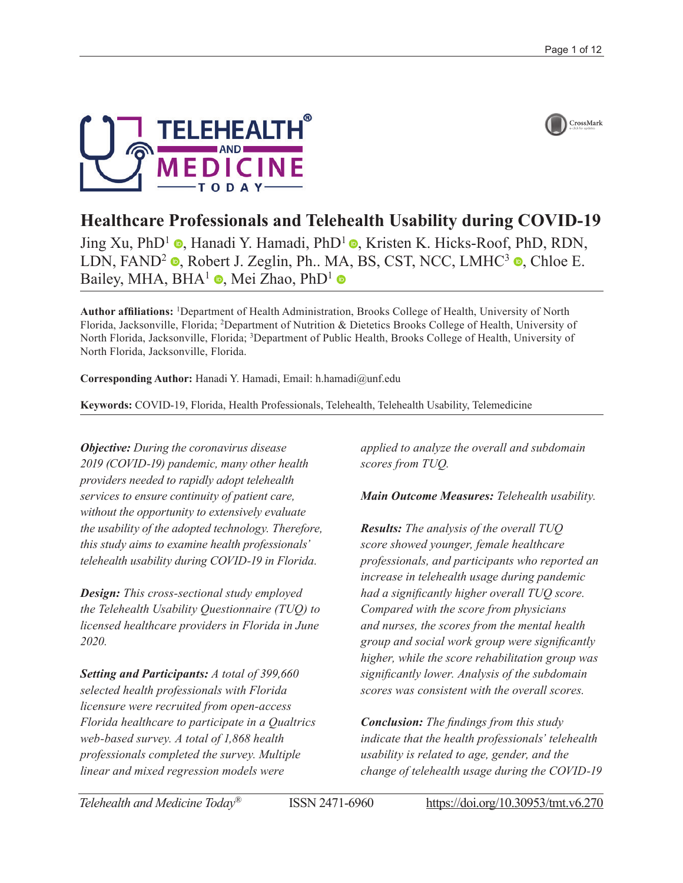



# **Healthcare Professionals and Telehealth Usability during COVID-19**

Jing Xu[,](https://orcid.org/0000-0002-5168-3388) PhD<sup>1</sup> **.** Hanadi Y. Hamadi, PhD<sup>1</sup> **.** Kristen K. Hicks-Roof, PhD, RDN, LDN[,](https://orcid.org/0000-0002-7483-8290) FAND<sup>2</sup>  $\bullet$ , Robert J. Zeglin, Ph., MA, BS, CST, NCC, LMHC<sup>3</sup>  $\bullet$ , Chloe E. Bailey[,](https://orcid.org/0000-0002-9306-1843) MHA, BHA<sup>1</sup>  $\bullet$ , Mei Zhao, PhD<sup>1</sup>  $\bullet$ 

**Author affiliations:** <sup>1</sup> Department of Health Administration, Brooks College of Health, University of North Florida, Jacksonville, Florida; <sup>2</sup>Department of Nutrition & Dietetics Brooks College of Health, University of North Florida, Jacksonville, Florida; <sup>3</sup>Department of Public Health, Brooks College of Health, University of North Florida, Jacksonville, Florida.

**Corresponding Author:** Hanadi Y. Hamadi, Email: [h.hamadi@unf.edu](mailto:h.hamadi@unf.edu)

**Keywords:** COVID-19, Florida, Health Professionals, Telehealth, Telehealth Usability, Telemedicine

*Objective: During the coronavirus disease 2019 (COVID-19) pandemic, many other health providers needed to rapidly adopt telehealth services to ensure continuity of patient care, without the opportunity to extensively evaluate the usability of the adopted technology. Therefore, this study aims to examine health professionals' telehealth usability during COVID-19 in Florida.*

*Design: This cross-sectional study employed the Telehealth Usability Questionnaire (TUQ) to licensed healthcare providers in Florida in June 2020.*

*Setting and Participants: A total of 399,660 selected health professionals with Florida licensure were recruited from open-access Florida healthcare to participate in a Qualtrics web-based survey. A total of 1,868 health professionals completed the survey. Multiple linear and mixed regression models were* 

*applied to analyze the overall and subdomain scores from TUQ.*

*Main Outcome Measures: Telehealth usability.*

*Results: The analysis of the overall TUQ score showed younger, female healthcare professionals, and participants who reported an increase in telehealth usage during pandemic had a significantly higher overall TUQ score. Compared with the score from physicians and nurses, the scores from the mental health group and social work group were significantly higher, while the score rehabilitation group was significantly lower. Analysis of the subdomain scores was consistent with the overall scores.*

*Conclusion: The findings from this study indicate that the health professionals' telehealth usability is related to age, gender, and the change of telehealth usage during the COVID-19*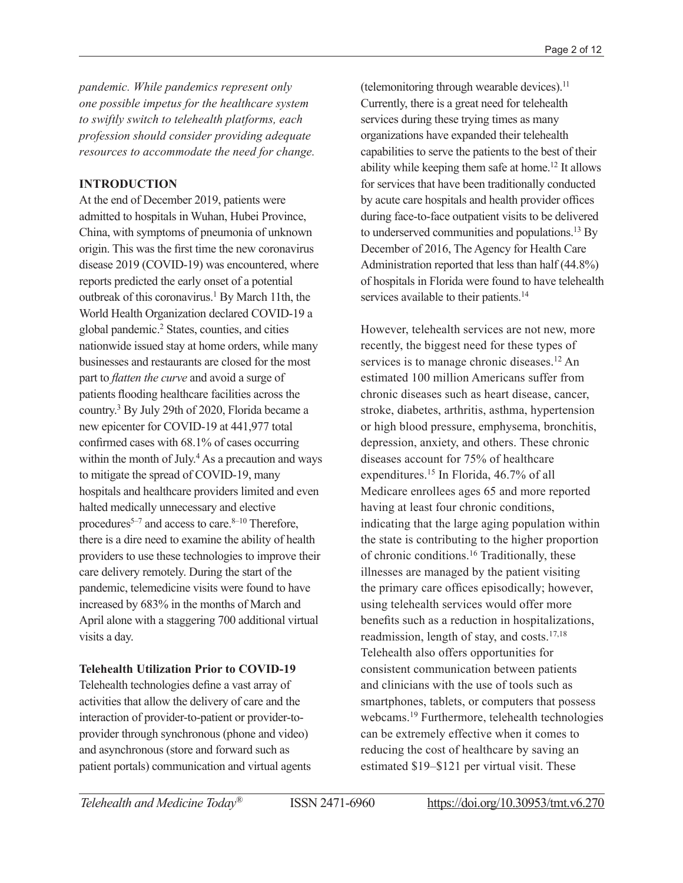*pandemic. While pandemics represent only one possible impetus for the healthcare system to swiftly switch to telehealth platforms, each profession should consider providing adequate resources to accommodate the need for change.*

#### **INTRODUCTION**

At the end of December 2019, patients were admitted to hospitals in Wuhan, Hubei Province, China, with symptoms of pneumonia of unknown origin. This was the first time the new coronavirus disease 2019 (COVID-19) was encountered, where reports predicted the early onset of a potential outbreak of this coronavirus.<sup>1</sup> By March 11th, the World Health Organization declared COVID-19 a global pandemic.2 States, counties, and cities nationwide issued stay at home orders, while many businesses and restaurants are closed for the most part to *flatten the curve* and avoid a surge of patients flooding healthcare facilities across the country.3 By July 29th of 2020, Florida became a new epicenter for COVID-19 at 441,977 total confirmed cases with 68.1% of cases occurring within the month of July.<sup>4</sup> As a precaution and ways to mitigate the spread of COVID-19, many hospitals and healthcare providers limited and even halted medically unnecessary and elective procedures<sup>5–7</sup> and access to care.<sup>8–10</sup> Therefore, there is a dire need to examine the ability of health providers to use these technologies to improve their care delivery remotely. During the start of the pandemic, telemedicine visits were found to have increased by 683% in the months of March and April alone with a staggering 700 additional virtual visits a day.

## **Telehealth Utilization Prior to COVID-19**

Telehealth technologies define a vast array of activities that allow the delivery of care and the interaction of provider-to-patient or provider-toprovider through synchronous (phone and video) and asynchronous (store and forward such as patient portals) communication and virtual agents

(telemonitoring through wearable devices). $<sup>11</sup>$ </sup> Currently, there is a great need for telehealth services during these trying times as many organizations have expanded their telehealth capabilities to serve the patients to the best of their ability while keeping them safe at home.12 It allows for services that have been traditionally conducted by acute care hospitals and health provider offices during face-to-face outpatient visits to be delivered to underserved communities and populations.13 By December of 2016, The Agency for Health Care Administration reported that less than half (44.8%) of hospitals in Florida were found to have telehealth services available to their patients.<sup>14</sup>

However, telehealth services are not new, more recently, the biggest need for these types of services is to manage chronic diseases.<sup>12</sup> An estimated 100 million Americans suffer from chronic diseases such as heart disease, cancer, stroke, diabetes, arthritis, asthma, hypertension or high blood pressure, emphysema, bronchitis, depression, anxiety, and others. These chronic diseases account for 75% of healthcare expenditures.15 In Florida, 46.7% of all Medicare enrollees ages 65 and more reported having at least four chronic conditions, indicating that the large aging population within the state is contributing to the higher proportion of chronic conditions.16 Traditionally, these illnesses are managed by the patient visiting the primary care offices episodically; however, using telehealth services would offer more benefits such as a reduction in hospitalizations, readmission, length of stay, and costs.17,18 Telehealth also offers opportunities for consistent communication between patients and clinicians with the use of tools such as smartphones, tablets, or computers that possess webcams.19 Furthermore, telehealth technologies can be extremely effective when it comes to reducing the cost of healthcare by saving an estimated \$19–\$121 per virtual visit. These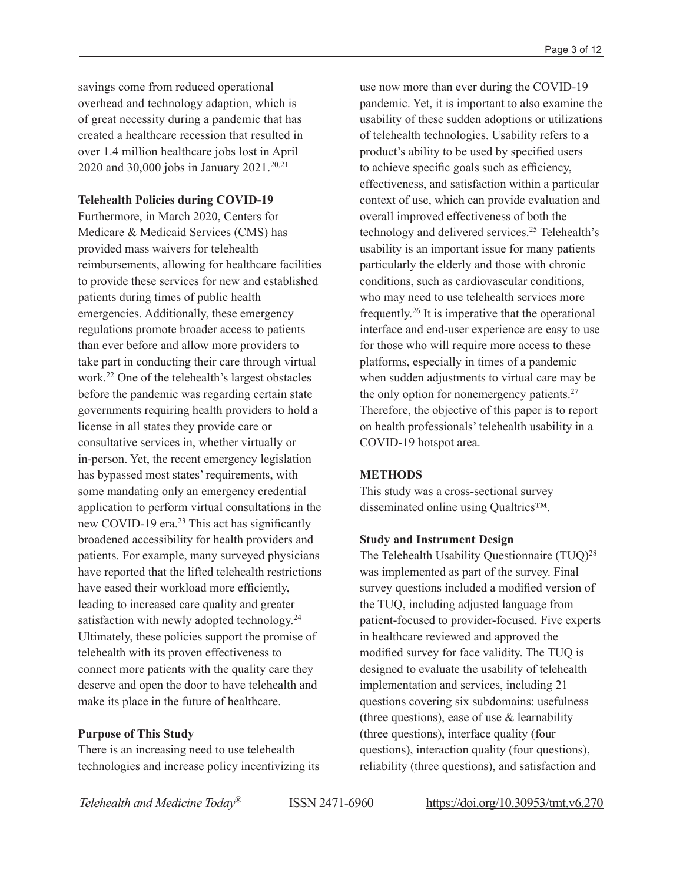savings come from reduced operational overhead and technology adaption, which is of great necessity during a pandemic that has created a healthcare recession that resulted in over 1.4 million healthcare jobs lost in April 2020 and 30,000 jobs in January 2021.<sup>20,21</sup>

#### **Telehealth Policies during COVID-19**

Furthermore, in March 2020, Centers for Medicare & Medicaid Services (CMS) has provided mass waivers for telehealth reimbursements, allowing for healthcare facilities to provide these services for new and established patients during times of public health emergencies. Additionally, these emergency regulations promote broader access to patients than ever before and allow more providers to take part in conducting their care through virtual work.22 One of the telehealth's largest obstacles before the pandemic was regarding certain state governments requiring health providers to hold a license in all states they provide care or consultative services in, whether virtually or in-person. Yet, the recent emergency legislation has bypassed most states' requirements, with some mandating only an emergency credential application to perform virtual consultations in the new COVID-19 era.<sup>23</sup> This act has significantly broadened accessibility for health providers and patients. For example, many surveyed physicians have reported that the lifted telehealth restrictions have eased their workload more efficiently, leading to increased care quality and greater satisfaction with newly adopted technology.<sup>24</sup> Ultimately, these policies support the promise of telehealth with its proven effectiveness to connect more patients with the quality care they deserve and open the door to have telehealth and make its place in the future of healthcare.

#### **Purpose of This Study**

There is an increasing need to use telehealth technologies and increase policy incentivizing its use now more than ever during the COVID-19 pandemic. Yet, it is important to also examine the usability of these sudden adoptions or utilizations of telehealth technologies. Usability refers to a product's ability to be used by specified users to achieve specific goals such as efficiency, effectiveness, and satisfaction within a particular context of use, which can provide evaluation and overall improved effectiveness of both the technology and delivered services.25 Telehealth's usability is an important issue for many patients particularly the elderly and those with chronic conditions, such as cardiovascular conditions, who may need to use telehealth services more frequently.26 It is imperative that the operational interface and end-user experience are easy to use for those who will require more access to these platforms, especially in times of a pandemic when sudden adjustments to virtual care may be the only option for nonemergency patients.<sup>27</sup> Therefore, the objective of this paper is to report on health professionals' telehealth usability in a COVID-19 hotspot area.

#### **METHODS**

This study was a cross-sectional survey disseminated online using Qualtrics™.

## **Study and Instrument Design**

The Telehealth Usability Questionnaire (TUQ)<sup>28</sup> was implemented as part of the survey. Final survey questions included a modified version of the TUQ, including adjusted language from patient-focused to provider-focused. Five experts in healthcare reviewed and approved the modified survey for face validity. The TUQ is designed to evaluate the usability of telehealth implementation and services, including 21 questions covering six subdomains: usefulness (three questions), ease of use & learnability (three questions), interface quality (four questions), interaction quality (four questions), reliability (three questions), and satisfaction and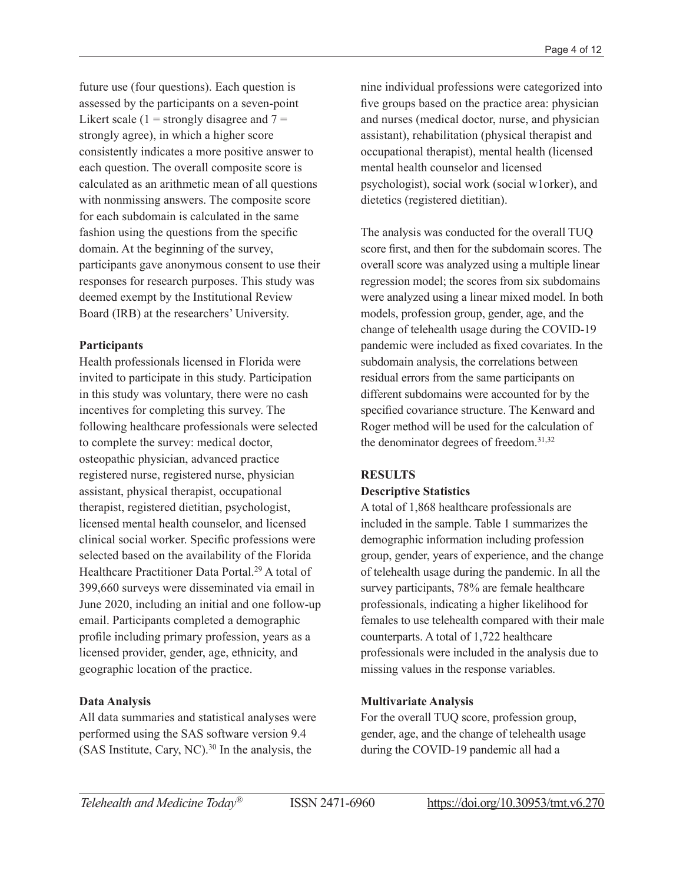future use (four questions). Each question is assessed by the participants on a seven-point Likert scale (1 = strongly disagree and  $7 =$ strongly agree), in which a higher score consistently indicates a more positive answer to each question. The overall composite score is calculated as an arithmetic mean of all questions with nonmissing answers. The composite score for each subdomain is calculated in the same fashion using the questions from the specific domain. At the beginning of the survey, participants gave anonymous consent to use their responses for research purposes. This study was deemed exempt by the Institutional Review Board (IRB) at the researchers' University.

## **Participants**

Health professionals licensed in Florida were invited to participate in this study. Participation in this study was voluntary, there were no cash incentives for completing this survey. The following healthcare professionals were selected to complete the survey: medical doctor, osteopathic physician, advanced practice registered nurse, registered nurse, physician assistant, physical therapist, occupational therapist, registered dietitian, psychologist, licensed mental health counselor, and licensed clinical social worker. Specific professions were selected based on the availability of the Florida Healthcare Practitioner Data Portal.29 A total of 399,660 surveys were disseminated via email in June 2020, including an initial and one follow-up email. Participants completed a demographic profile including primary profession, years as a licensed provider, gender, age, ethnicity, and geographic location of the practice.

# **Data Analysis**

All data summaries and statistical analyses were performed using the SAS software version 9.4 (SAS Institute, Cary, NC). $30$  In the analysis, the

nine individual professions were categorized into five groups based on the practice area: physician and nurses (medical doctor, nurse, and physician assistant), rehabilitation (physical therapist and occupational therapist), mental health (licensed mental health counselor and licensed psychologist), social work (social w1orker), and dietetics (registered dietitian).

The analysis was conducted for the overall TUQ score first, and then for the subdomain scores. The overall score was analyzed using a multiple linear regression model; the scores from six subdomains were analyzed using a linear mixed model. In both models, profession group, gender, age, and the change of telehealth usage during the COVID-19 pandemic were included as fixed covariates. In the subdomain analysis, the correlations between residual errors from the same participants on different subdomains were accounted for by the specified covariance structure. The Kenward and Roger method will be used for the calculation of the denominator degrees of freedom.31,32

## **RESULTS Descriptive Statistics**

A total of 1,868 healthcare professionals are included in the sample. Table 1 summarizes the demographic information including profession group, gender, years of experience, and the change of telehealth usage during the pandemic. In all the survey participants, 78% are female healthcare professionals, indicating a higher likelihood for females to use telehealth compared with their male counterparts. A total of 1,722 healthcare professionals were included in the analysis due to missing values in the response variables.

# **Multivariate Analysis**

For the overall TUQ score, profession group, gender, age, and the change of telehealth usage during the COVID-19 pandemic all had a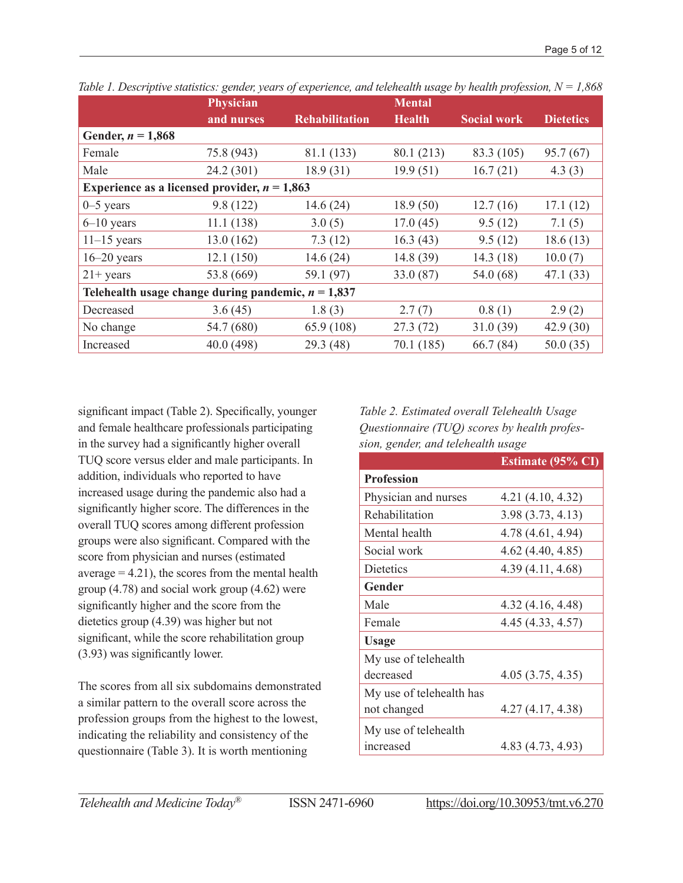|                                                      | <b>Physician</b> |                       | Mental        |                    |                  |  |  |  |
|------------------------------------------------------|------------------|-----------------------|---------------|--------------------|------------------|--|--|--|
|                                                      | and nurses       | <b>Rehabilitation</b> | <b>Health</b> | <b>Social work</b> | <b>Dietetics</b> |  |  |  |
| Gender, $n = 1,868$                                  |                  |                       |               |                    |                  |  |  |  |
| Female                                               | 75.8 (943)       | 81.1 (133)            | 80.1 (213)    | 83.3 (105)         | 95.7(67)         |  |  |  |
| Male                                                 | 24.2(301)        | 18.9(31)              | 19.9(51)      | 16.7(21)           | 4.3(3)           |  |  |  |
| Experience as a licensed provider, $n = 1,863$       |                  |                       |               |                    |                  |  |  |  |
| $0 - 5$ years                                        | 9.8(122)         | 14.6(24)              | 18.9(50)      | 12.7(16)           | 17.1(12)         |  |  |  |
| $6 - 10$ years                                       | 11.1(138)        | 3.0(5)                | 17.0(45)      | 9.5(12)            | 7.1(5)           |  |  |  |
| $11-15$ years                                        | 13.0(162)        | 7.3(12)               | 16.3(43)      | 9.5(12)            | 18.6(13)         |  |  |  |
| $16 - 20$ years                                      | 12.1(150)        | 14.6(24)              | 14.8(39)      | 14.3(18)           | 10.0(7)          |  |  |  |
| $21+ \text{years}$                                   | 53.8 (669)       | 59.1 (97)             | 33.0(87)      | 54.0 (68)          | 47.1(33)         |  |  |  |
| Telehealth usage change during pandemic, $n = 1,837$ |                  |                       |               |                    |                  |  |  |  |
| Decreased                                            | 3.6(45)          | 1.8(3)                | 2.7(7)        | 0.8(1)             | 2.9(2)           |  |  |  |
| No change                                            | 54.7 (680)       | 65.9 (108)            | 27.3(72)      | 31.0(39)           | 42.9(30)         |  |  |  |
| Increased                                            | 40.0 (498)       | 29.3(48)              | 70.1 (185)    | 66.7(84)           | 50.0(35)         |  |  |  |

*Table 1. Descriptive statistics: gender, years of experience, and telehealth usage by health profession, N = 1,868*

significant impact (Table 2). Specifically, younger and female healthcare professionals participating in the survey had a significantly higher overall TUQ score versus elder and male participants. In addition, individuals who reported to have increased usage during the pandemic also had a significantly higher score. The differences in the overall TUQ scores among different profession groups were also significant. Compared with the score from physician and nurses (estimated average  $= 4.21$ , the scores from the mental health group (4.78) and social work group (4.62) were significantly higher and the score from the dietetics group (4.39) was higher but not significant, while the score rehabilitation group (3.93) was significantly lower.

The scores from all six subdomains demonstrated a similar pattern to the overall score across the profession groups from the highest to the lowest, indicating the reliability and consistency of the questionnaire (Table 3). It is worth mentioning

*Table 2. Estimated overall Telehealth Usage Questionnaire (TUQ) scores by health profession, gender, and telehealth usage* 

|                          | <b>Estimate (95% CI)</b> |
|--------------------------|--------------------------|
| <b>Profession</b>        |                          |
| Physician and nurses     | 4.21 (4.10, 4.32)        |
| Rehabilitation           | 3.98(3.73, 4.13)         |
| Mental health            | 4.78 (4.61, 4.94)        |
| Social work              | 4.62 (4.40, 4.85)        |
| <b>Dietetics</b>         | 4.39 (4.11, 4.68)        |
| Gender                   |                          |
| Male                     | 4.32 (4.16, 4.48)        |
| Female                   | 4.45 (4.33, 4.57)        |
| <b>Usage</b>             |                          |
| My use of telehealth     |                          |
| decreased                | 4.05(3.75, 4.35)         |
| My use of telehealth has |                          |
| not changed              | 4.27(4.17, 4.38)         |
| My use of telehealth     |                          |
| increased                | 4.83 (4.73, 4.93)        |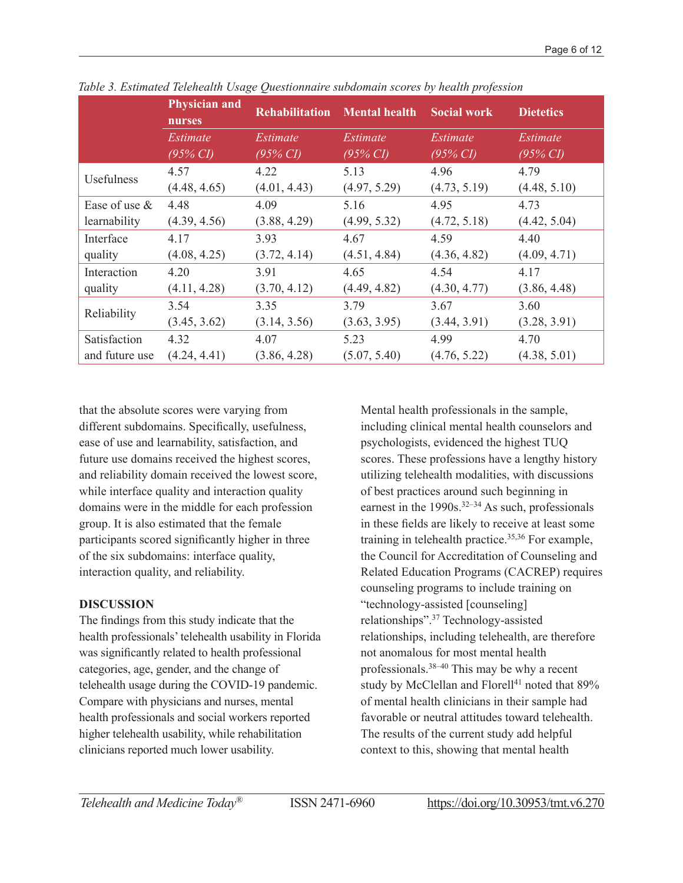|                  | <b>Physician and</b><br>nurses | <b>Rehabilitation</b> | <b>Mental health</b> | <b>Social work</b>  | <b>Dietetics</b>    |
|------------------|--------------------------------|-----------------------|----------------------|---------------------|---------------------|
|                  | Estimate                       | Estimate              | Estimate             | Estimate            | Estimate            |
|                  | $(95\% \text{ CI})$            | $(95\% \text{ CI})$   | $(95\% \text{ CI})$  | $(95\% \text{ CI})$ | $(95\% \text{ CI})$ |
| Usefulness       | 4.57                           | 4.22                  | 5.13                 | 4.96                | 4.79                |
|                  | (4.48, 4.65)                   | (4.01, 4.43)          | (4.97, 5.29)         | (4.73, 5.19)        | (4.48, 5.10)        |
| Ease of use $\&$ | 4.48                           | 4.09                  | 5.16                 | 4.95                | 4.73                |
| learnability     | (4.39, 4.56)                   | (3.88, 4.29)          | (4.99, 5.32)         | (4.72, 5.18)        | (4.42, 5.04)        |
| Interface        | 4.17                           | 3.93                  | 4.67                 | 4.59                | 4.40                |
| quality          | (4.08, 4.25)                   | (3.72, 4.14)          | (4.51, 4.84)         | (4.36, 4.82)        | (4.09, 4.71)        |
| Interaction      | 4.20                           | 3.91                  | 4.65                 | 4.54                | 4.17                |
| quality          | (4.11, 4.28)                   | (3.70, 4.12)          | (4.49, 4.82)         | (4.30, 4.77)        | (3.86, 4.48)        |
| Reliability      | 3.54                           | 3.35                  | 3.79                 | 3.67                | 3.60                |
|                  | (3.45, 3.62)                   | (3.14, 3.56)          | (3.63, 3.95)         | (3.44, 3.91)        | (3.28, 3.91)        |
| Satisfaction     | 4.32                           | 4.07                  | 5.23                 | 4.99                | 4.70                |
| and future use   | (4.24, 4.41)                   | (3.86, 4.28)          | (5.07, 5.40)         | (4.76, 5.22)        | (4.38, 5.01)        |

*Table 3. Estimated Telehealth Usage Questionnaire subdomain scores by health profession*

that the absolute scores were varying from different subdomains. Specifically, usefulness, ease of use and learnability, satisfaction, and future use domains received the highest scores, and reliability domain received the lowest score, while interface quality and interaction quality domains were in the middle for each profession group. It is also estimated that the female participants scored significantly higher in three of the six subdomains: interface quality, interaction quality, and reliability.

## **DISCUSSION**

The findings from this study indicate that the health professionals' telehealth usability in Florida was significantly related to health professional categories, age, gender, and the change of telehealth usage during the COVID-19 pandemic. Compare with physicians and nurses, mental health professionals and social workers reported higher telehealth usability, while rehabilitation clinicians reported much lower usability.

Mental health professionals in the sample, including clinical mental health counselors and psychologists, evidenced the highest TUQ scores. These professions have a lengthy history utilizing telehealth modalities, with discussions of best practices around such beginning in earnest in the  $1990s$ .<sup>32–34</sup> As such, professionals in these fields are likely to receive at least some training in telehealth practice.35,36 For example, the Council for Accreditation of Counseling and Related Education Programs (CACREP) requires counseling programs to include training on "technology-assisted [counseling] relationships".37 Technology-assisted relationships, including telehealth, are therefore not anomalous for most mental health professionals.38–40 This may be why a recent study by McClellan and Florell<sup>41</sup> noted that 89% of mental health clinicians in their sample had favorable or neutral attitudes toward telehealth. The results of the current study add helpful context to this, showing that mental health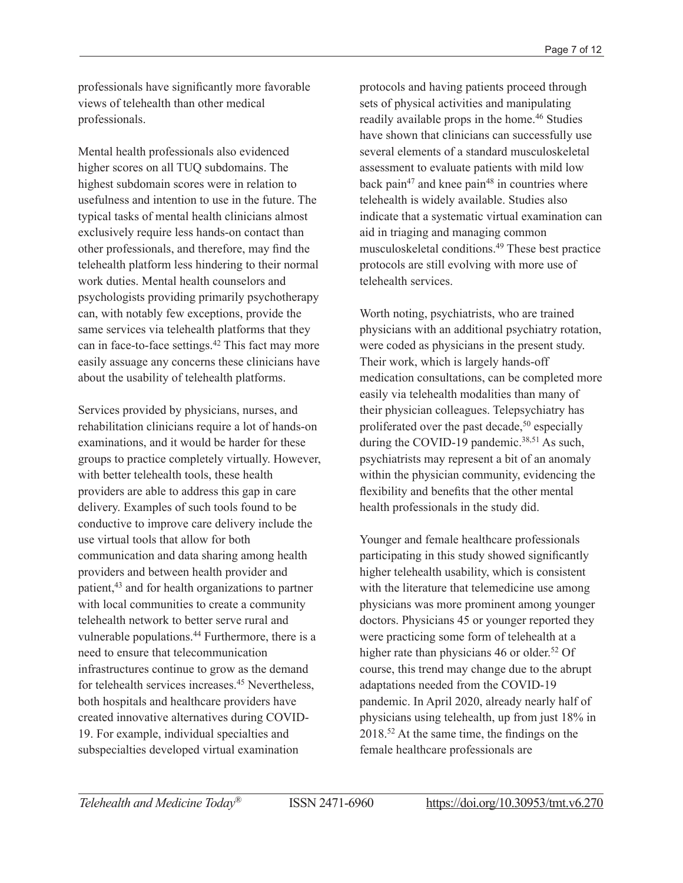professionals have significantly more favorable views of telehealth than other medical professionals.

Mental health professionals also evidenced higher scores on all TUQ subdomains. The highest subdomain scores were in relation to usefulness and intention to use in the future. The typical tasks of mental health clinicians almost exclusively require less hands-on contact than other professionals, and therefore, may find the telehealth platform less hindering to their normal work duties. Mental health counselors and psychologists providing primarily psychotherapy can, with notably few exceptions, provide the same services via telehealth platforms that they can in face-to-face settings.42 This fact may more easily assuage any concerns these clinicians have about the usability of telehealth platforms.

Services provided by physicians, nurses, and rehabilitation clinicians require a lot of hands-on examinations, and it would be harder for these groups to practice completely virtually. However, with better telehealth tools, these health providers are able to address this gap in care delivery. Examples of such tools found to be conductive to improve care delivery include the use virtual tools that allow for both communication and data sharing among health providers and between health provider and patient,43 and for health organizations to partner with local communities to create a community telehealth network to better serve rural and vulnerable populations.<sup>44</sup> Furthermore, there is a need to ensure that telecommunication infrastructures continue to grow as the demand for telehealth services increases.45 Nevertheless, both hospitals and healthcare providers have created innovative alternatives during COVID-19. For example, individual specialties and subspecialties developed virtual examination

protocols and having patients proceed through sets of physical activities and manipulating readily available props in the home.<sup>46</sup> Studies have shown that clinicians can successfully use several elements of a standard musculoskeletal assessment to evaluate patients with mild low back pain<sup>47</sup> and knee pain<sup>48</sup> in countries where telehealth is widely available. Studies also indicate that a systematic virtual examination can aid in triaging and managing common musculoskeletal conditions.49 These best practice protocols are still evolving with more use of telehealth services.

Worth noting, psychiatrists, who are trained physicians with an additional psychiatry rotation, were coded as physicians in the present study. Their work, which is largely hands-off medication consultations, can be completed more easily via telehealth modalities than many of their physician colleagues. Telepsychiatry has proliferated over the past decade,<sup>50</sup> especially during the COVID-19 pandemic. $38,51$  As such, psychiatrists may represent a bit of an anomaly within the physician community, evidencing the flexibility and benefits that the other mental health professionals in the study did.

Younger and female healthcare professionals participating in this study showed significantly higher telehealth usability, which is consistent with the literature that telemedicine use among physicians was more prominent among younger doctors. Physicians 45 or younger reported they were practicing some form of telehealth at a higher rate than physicians 46 or older.<sup>52</sup> Of course, this trend may change due to the abrupt adaptations needed from the COVID-19 pandemic. In April 2020, already nearly half of physicians using telehealth, up from just 18% in 2018.<sup>52</sup> At the same time, the findings on the female healthcare professionals are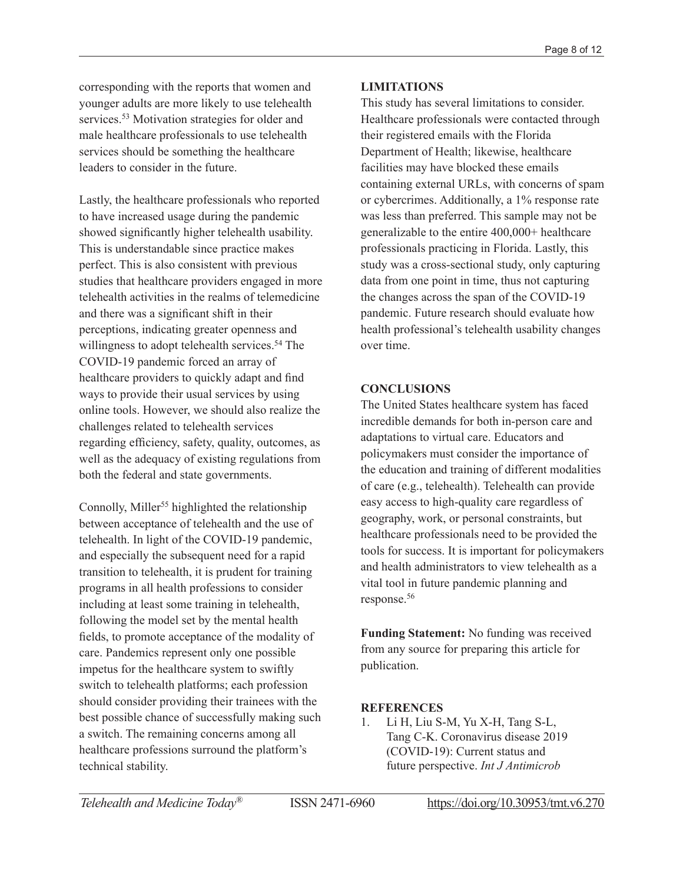corresponding with the reports that women and younger adults are more likely to use telehealth services.<sup>53</sup> Motivation strategies for older and male healthcare professionals to use telehealth services should be something the healthcare leaders to consider in the future.

Lastly, the healthcare professionals who reported to have increased usage during the pandemic showed significantly higher telehealth usability. This is understandable since practice makes perfect. This is also consistent with previous studies that healthcare providers engaged in more telehealth activities in the realms of telemedicine and there was a significant shift in their perceptions, indicating greater openness and willingness to adopt telehealth services.<sup>54</sup> The COVID-19 pandemic forced an array of healthcare providers to quickly adapt and find ways to provide their usual services by using online tools. However, we should also realize the challenges related to telehealth services regarding efficiency, safety, quality, outcomes, as well as the adequacy of existing regulations from both the federal and state governments.

Connolly, Miller<sup>55</sup> highlighted the relationship between acceptance of telehealth and the use of telehealth. In light of the COVID-19 pandemic, and especially the subsequent need for a rapid transition to telehealth, it is prudent for training programs in all health professions to consider including at least some training in telehealth, following the model set by the mental health fields, to promote acceptance of the modality of care. Pandemics represent only one possible impetus for the healthcare system to swiftly switch to telehealth platforms; each profession should consider providing their trainees with the best possible chance of successfully making such a switch. The remaining concerns among all healthcare professions surround the platform's technical stability.

# **LIMITATIONS**

This study has several limitations to consider. Healthcare professionals were contacted through their registered emails with the Florida Department of Health; likewise, healthcare facilities may have blocked these emails containing external URLs, with concerns of spam or cybercrimes. Additionally, a 1% response rate was less than preferred. This sample may not be generalizable to the entire 400,000+ healthcare professionals practicing in Florida. Lastly, this study was a cross-sectional study, only capturing data from one point in time, thus not capturing the changes across the span of the COVID-19 pandemic. Future research should evaluate how health professional's telehealth usability changes over time.

# **CONCLUSIONS**

The United States healthcare system has faced incredible demands for both in-person care and adaptations to virtual care. Educators and policymakers must consider the importance of the education and training of different modalities of care (e.g., telehealth). Telehealth can provide easy access to high-quality care regardless of geography, work, or personal constraints, but healthcare professionals need to be provided the tools for success. It is important for policymakers and health administrators to view telehealth as a vital tool in future pandemic planning and response.56

**Funding Statement:** No funding was received from any source for preparing this article for publication.

# **REFERENCES**

1. Li H, Liu S-M, Yu X-H, Tang S-L, Tang C-K. Coronavirus disease 2019 (COVID-19): Current status and future perspective. *Int J Antimicrob*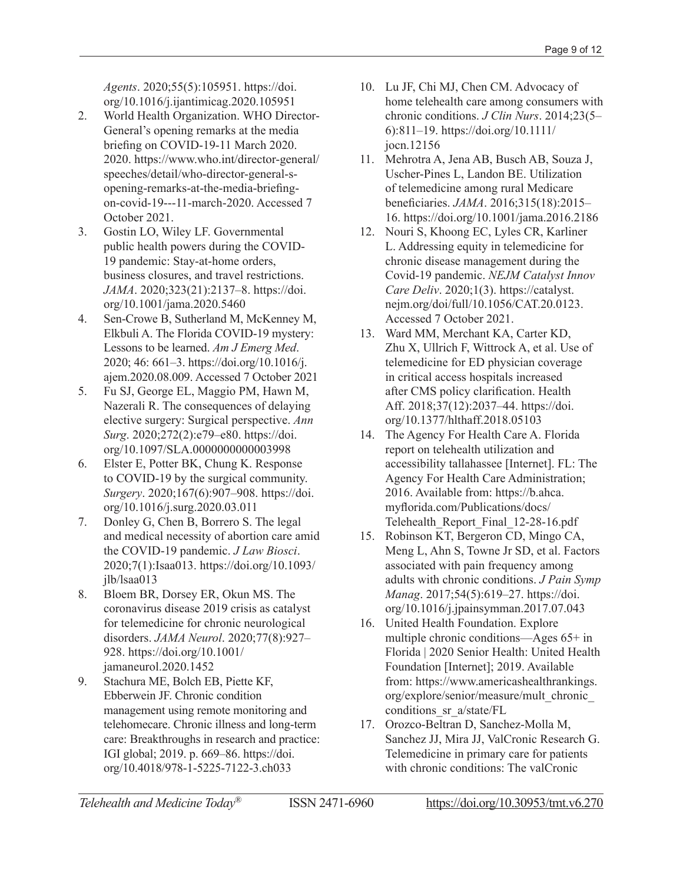*Agents*. 2020;55(5):105951. [https://doi.](https://doi.org/10.1016/j.ijantimicag.2020.105951) [org/10.1016/j.ijantimicag.2020.105951](https://doi.org/10.1016/j.ijantimicag.2020.105951)

- 2. World Health Organization. WHO Director-General's opening remarks at the media briefing on COVID-19-11 March 2020. 2020. [https://www.who.int/director-general/](https://www.who.int/director-general/speeches/detail/who-director-general-s-opening-remarks-at-the-media-briefing-on-covid-19---11-march-2020) [speeches/detail/who-director-general-s](https://www.who.int/director-general/speeches/detail/who-director-general-s-opening-remarks-at-the-media-briefing-on-covid-19---11-march-2020)[opening-remarks-at-the-media-briefing](https://www.who.int/director-general/speeches/detail/who-director-general-s-opening-remarks-at-the-media-briefing-on-covid-19---11-march-2020)[on-covid-19---11-march-2020](https://www.who.int/director-general/speeches/detail/who-director-general-s-opening-remarks-at-the-media-briefing-on-covid-19---11-march-2020). Accessed 7 October 2021.
- 3. Gostin LO, Wiley LF. Governmental public health powers during the COVID-19 pandemic: Stay-at-home orders, business closures, and travel restrictions. *JAMA*. 2020;323(21):2137–8. [https://doi.](https://doi.org/10.1001/jama.2020.5460) [org/10.1001/jama.2020.5460](https://doi.org/10.1001/jama.2020.5460)
- 4. Sen-Crowe B, Sutherland M, McKenney M, Elkbuli A. The Florida COVID-19 mystery: Lessons to be learned. *Am J Emerg Med*. 2020; 46: 661–3. [https://doi.org/10.1016/j.](https://doi.org/10.1016/j.ajem.2020.08.009) [ajem.2020.08.009](https://doi.org/10.1016/j.ajem.2020.08.009). Accessed 7 October 2021
- 5. Fu SJ, George EL, Maggio PM, Hawn M, Nazerali R. The consequences of delaying elective surgery: Surgical perspective. *Ann Surg*. 2020;272(2):e79–e80. [https://doi.](https://doi.org/10.1097/SLA.0000000000003998) [org/10.1097/SLA.0000000000003998](https://doi.org/10.1097/SLA.0000000000003998)
- 6. Elster E, Potter BK, Chung K. Response to COVID-19 by the surgical community. *Surgery*. 2020;167(6):907–908. [https://doi.](https://doi.org/10.1016/j.surg.2020.03.011) [org/10.1016/j.surg.2020.03.011](https://doi.org/10.1016/j.surg.2020.03.011)
- 7. Donley G, Chen B, Borrero S. The legal and medical necessity of abortion care amid the COVID-19 pandemic. *J Law Biosci*. 2020;7(1):Isaa013. [https://doi.org/10.1093/](https://doi.org/10.1093/jlb/lsaa013) [jlb/lsaa013](https://doi.org/10.1093/jlb/lsaa013)
- 8. Bloem BR, Dorsey ER, Okun MS. The coronavirus disease 2019 crisis as catalyst for telemedicine for chronic neurological disorders. *JAMA Neurol*. 2020;77(8):927– 928. [https://doi.org/10.1001/](https://doi.org/10.1001/jamaneurol.2020.1452) [jamaneurol.2020.1452](https://doi.org/10.1001/jamaneurol.2020.1452)
- 9. Stachura ME, Bolch EB, Piette KF, Ebberwein JF. Chronic condition management using remote monitoring and telehomecare. Chronic illness and long-term care: Breakthroughs in research and practice: IGI global; 2019. p. 669–86. [https://doi.](https://doi.org/10.4018/978-1-5225-7122-3.ch033) [org/10.4018/978-1-5225-7122-3.ch033](https://doi.org/10.4018/978-1-5225-7122-3.ch033)
- 10. Lu JF, Chi MJ, Chen CM. Advocacy of home telehealth care among consumers with chronic conditions. *J Clin Nurs*. 2014;23(5– 6):811–19. [https://doi.org/10.1111/](https://doi.org/10.1111/jocn.12156) [jocn.12156](https://doi.org/10.1111/jocn.12156)
- 11. Mehrotra A, Jena AB, Busch AB, Souza J, Uscher-Pines L, Landon BE. Utilization of telemedicine among rural Medicare beneficiaries. *JAMA*. 2016;315(18):2015– 16. <https://doi.org/10.1001/jama.2016.2186>
- 12. Nouri S, Khoong EC, Lyles CR, Karliner L. Addressing equity in telemedicine for chronic disease management during the Covid-19 pandemic. *NEJM Catalyst Innov Care Deliv*. 2020;1(3). [https://catalyst.](https://catalyst.nejm.org/doi/full/10.1056/CAT.20.0123) [nejm.org/doi/full/10.1056/CAT.20.0123](https://catalyst.nejm.org/doi/full/10.1056/CAT.20.0123). Accessed 7 October 2021.
- 13. Ward MM, Merchant KA, Carter KD, Zhu X, Ullrich F, Wittrock A, et al. Use of telemedicine for ED physician coverage in critical access hospitals increased after CMS policy clarification. Health Aff. 2018;37(12):2037–44. [https://doi.](https://doi.org/10.1377/hlthaff.2018.05103) [org/10.1377/hlthaff.2018.05103](https://doi.org/10.1377/hlthaff.2018.05103)
- 14. The Agency For Health Care A. Florida report on telehealth utilization and accessibility tallahassee [Internet]. FL: The Agency For Health Care Administration; 2016. Available from: [https://b.ahca.](https://b.ahca.myflorida.com/Publications/docs/Telehealth_Report_Final_12-28-16.pdf) [myflorida.com/Publications/docs/](https://b.ahca.myflorida.com/Publications/docs/Telehealth_Report_Final_12-28-16.pdf) [Telehealth\\_Report\\_Final\\_12-28-16.pdf](https://b.ahca.myflorida.com/Publications/docs/Telehealth_Report_Final_12-28-16.pdf)
- 15. Robinson KT, Bergeron CD, Mingo CA, Meng L, Ahn S, Towne Jr SD, et al. Factors associated with pain frequency among adults with chronic conditions. *J Pain Symp Manag*. 2017;54(5):619–27. [https://doi.](https://doi.org/10.1016/j.jpainsymman.2017.07.043) [org/10.1016/j.jpainsymman.2017.07.043](https://doi.org/10.1016/j.jpainsymman.2017.07.043)
- 16. United Health Foundation. Explore multiple chronic conditions—Ages 65+ in Florida | 2020 Senior Health: United Health Foundation [Internet]; 2019. Available from: [https://www.americashealthrankings.](https://www.americashealthrankings.org/explore/senior/measure/mult_chronic_conditions_sr_a/state/FL) [org/explore/senior/measure/mult\\_chronic\\_](https://www.americashealthrankings.org/explore/senior/measure/mult_chronic_conditions_sr_a/state/FL) [conditions\\_sr\\_a/state/FL](https://www.americashealthrankings.org/explore/senior/measure/mult_chronic_conditions_sr_a/state/FL)
- 17. Orozco-Beltran D, Sanchez-Molla M, Sanchez JJ, Mira JJ, ValCronic Research G. Telemedicine in primary care for patients with chronic conditions: The valCronic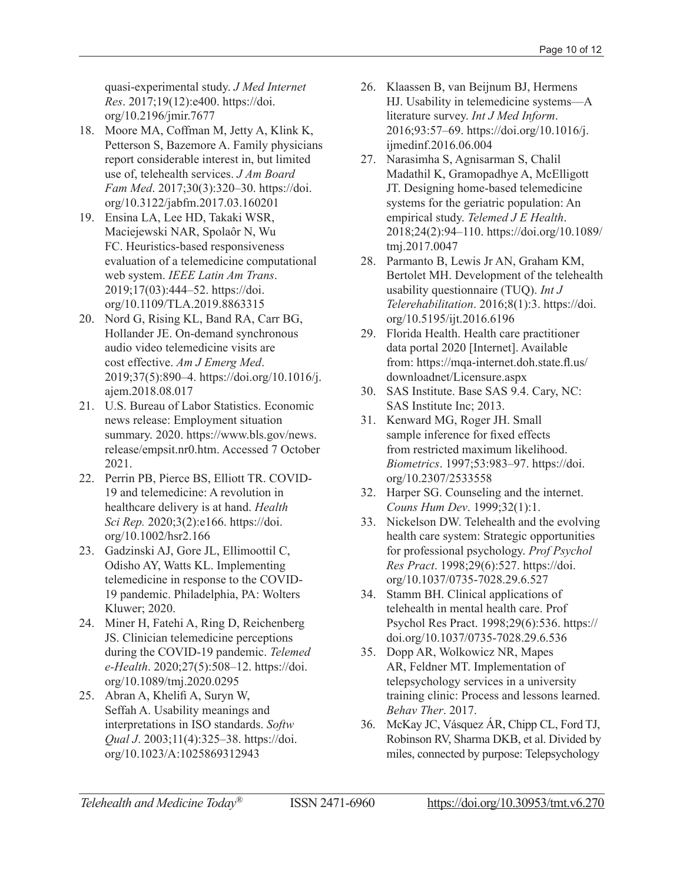quasi-experimental study. *J Med Internet Res*. 2017;19(12):e400. [https://doi.](https://doi.org/10.2196/jmir.7677) [org/10.2196/jmir.7677](https://doi.org/10.2196/jmir.7677)

- 18. Moore MA, Coffman M, Jetty A, Klink K, Petterson S, Bazemore A. Family physicians report considerable interest in, but limited use of, telehealth services. *J Am Board Fam Med*. 2017;30(3):320–30. [https://doi.](https://doi.org/10.3122/jabfm.2017.03.160201) [org/10.3122/jabfm.2017.03.160201](https://doi.org/10.3122/jabfm.2017.03.160201)
- 19. Ensina LA, Lee HD, Takaki WSR, Maciejewski NAR, Spolaôr N, Wu FC. Heuristics-based responsiveness evaluation of a telemedicine computational web system. *IEEE Latin Am Trans*. 2019;17(03):444–52. [https://doi.](https://doi.org/10.1109/TLA.2019.8863315) [org/10.1109/TLA.2019.8863315](https://doi.org/10.1109/TLA.2019.8863315)
- 20. Nord G, Rising KL, Band RA, Carr BG, Hollander JE. On-demand synchronous audio video telemedicine visits are cost effective. *Am J Emerg Med*. 2019;37(5):890–4. [https://doi.org/10.1016/j.](https://doi.org/10.1016/j.ajem.2018.08.017) [ajem.2018.08.017](https://doi.org/10.1016/j.ajem.2018.08.017)
- 21. U.S. Bureau of Labor Statistics. Economic news release: Employment situation summary. 2020. [https://www.bls.gov/news.](https://www.bls.gov/news.release/empsit.nr0.htm) [release/empsit.nr0.htm](https://www.bls.gov/news.release/empsit.nr0.htm). Accessed 7 October 2021.
- 22. Perrin PB, Pierce BS, Elliott TR. COVID-19 and telemedicine: A revolution in healthcare delivery is at hand. *Health Sci Rep.* 2020;3(2):e166. [https://doi.](https://doi.org/10.1002/hsr2.166) [org/10.1002/hsr2.166](https://doi.org/10.1002/hsr2.166)
- 23. Gadzinski AJ, Gore JL, Ellimoottil C, Odisho AY, Watts KL. Implementing telemedicine in response to the COVID-19 pandemic. Philadelphia, PA: Wolters Kluwer; 2020.
- 24. Miner H, Fatehi A, Ring D, Reichenberg JS. Clinician telemedicine perceptions during the COVID-19 pandemic. *Telemed e-Health*. 2020;27(5):508–12. [https://doi.](https://doi.org/10.1089/tmj.2020.0295) [org/10.1089/tmj.2020.0295](https://doi.org/10.1089/tmj.2020.0295)
- 25. Abran A, Khelifi A, Suryn W, Seffah A. Usability meanings and interpretations in ISO standards. *Softw Qual J*. 2003;11(4):325–38. [https://doi.](https://doi.org/10.1023/A) [org/10.1023/A](https://doi.org/10.1023/A):1025869312943
- 26. Klaassen B, van Beijnum BJ, Hermens HJ. Usability in telemedicine systems—A literature survey. *Int J Med Inform*. 2016;93:57–69. [https://doi.org/10.1016/j.](https://doi.org/10.1016/j.ijmedinf.2016.06.004) [ijmedinf.2016.06.004](https://doi.org/10.1016/j.ijmedinf.2016.06.004)
- 27. Narasimha S, Agnisarman S, Chalil Madathil K, Gramopadhye A, McElligott JT. Designing home-based telemedicine systems for the geriatric population: An empirical study. *Telemed J E Health*. 2018;24(2):94–110. [https://doi.org/10.1089/](https://doi.org/10.1089/tmj.2017.0047) [tmj.2017.0047](https://doi.org/10.1089/tmj.2017.0047)
- 28. Parmanto B, Lewis Jr AN, Graham KM, Bertolet MH. Development of the telehealth usability questionnaire (TUQ). *Int J Telerehabilitation*. 2016;8(1):3. [https://doi.](https://doi.org/10.5195/ijt.2016.6196) [org/10.5195/ijt.2016.6196](https://doi.org/10.5195/ijt.2016.6196)
- 29. Florida Health. Health care practitioner data portal 2020 [Internet]. Available from: [https://mqa-internet.doh.state.fl.us/](https://mqa-internet.doh.state.fl.us/downloadnet/Licensure.aspx) [downloadnet/Licensure.aspx](https://mqa-internet.doh.state.fl.us/downloadnet/Licensure.aspx)
- 30. SAS Institute. Base SAS 9.4. Cary, NC: SAS Institute Inc; 2013.
- 31. Kenward MG, Roger JH. Small sample inference for fixed effects from restricted maximum likelihood. *Biometrics*. 1997;53:983–97. [https://doi.](https://doi.org/10.2307/2533558) [org/10.2307/2533558](https://doi.org/10.2307/2533558)
- 32. Harper SG. Counseling and the internet. *Couns Hum Dev*. 1999;32(1):1.
- 33. Nickelson DW. Telehealth and the evolving health care system: Strategic opportunities for professional psychology. *Prof Psychol Res Pract*. 1998;29(6):527. [https://doi.](https://doi.org/10.1037/0735-7028.29.6.527) [org/10.1037/0735-7028.29.6.527](https://doi.org/10.1037/0735-7028.29.6.527)
- 34. Stamm BH. Clinical applications of telehealth in mental health care. Prof Psychol Res Pract. 1998;29(6):536. [https://](https://doi.org/10.1037/0735-7028.29.6.536) [doi.org/10.1037/0735-7028.29.6.536](https://doi.org/10.1037/0735-7028.29.6.536)
- 35. Dopp AR, Wolkowicz NR, Mapes AR, Feldner MT. Implementation of telepsychology services in a university training clinic: Process and lessons learned. *Behav Ther*. 2017.
- 36. McKay JC, Vásquez ÁR, Chipp CL, Ford TJ, Robinson RV, Sharma DKB, et al. Divided by miles, connected by purpose: Telepsychology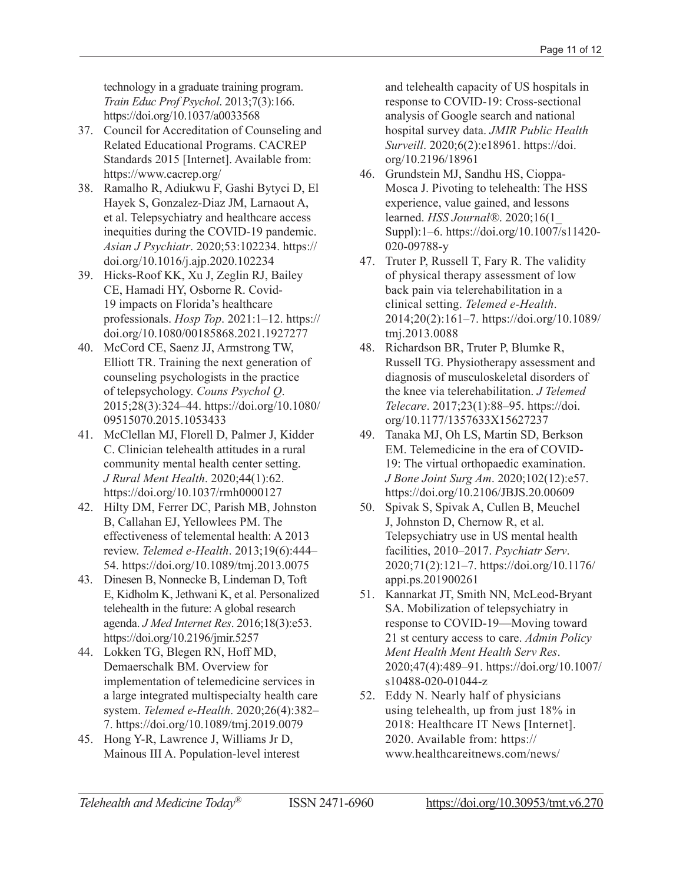technology in a graduate training program. *Train Educ Prof Psychol*. 2013;7(3):166. <https://doi.org/10.1037/a0033568>

- 37. Council for Accreditation of Counseling and Related Educational Programs. CACREP Standards 2015 [Internet]. Available from: <https://www.cacrep.org/>
- 38. Ramalho R, Adiukwu F, Gashi Bytyci D, El Hayek S, Gonzalez-Diaz JM, Larnaout A, et al. Telepsychiatry and healthcare access inequities during the COVID-19 pandemic. *Asian J Psychiatr*. 2020;53:102234. [https://](https://doi.org/10.1016/j.ajp.2020.102234) [doi.org/10.1016/j.ajp.2020.102234](https://doi.org/10.1016/j.ajp.2020.102234)
- 39. Hicks-Roof KK, Xu J, Zeglin RJ, Bailey CE, Hamadi HY, Osborne R. Covid-19 impacts on Florida's healthcare professionals. *Hosp Top*. 2021:1–12. [https://](https://doi.org/10.1080/00185868.2021.1927277) [doi.org/10.1080/00185868.2021.1927277](https://doi.org/10.1080/00185868.2021.1927277)
- 40. McCord CE, Saenz JJ, Armstrong TW, Elliott TR. Training the next generation of counseling psychologists in the practice of telepsychology. *Couns Psychol Q*. 2015;28(3):324–44. [https://doi.org/10.1080/](https://doi.org/10.1080/09515070.2015.1053433) [09515070.2015.1053433](https://doi.org/10.1080/09515070.2015.1053433)
- 41. McClellan MJ, Florell D, Palmer J, Kidder C. Clinician telehealth attitudes in a rural community mental health center setting. *J Rural Ment Health*. 2020;44(1):62. <https://doi.org/10.1037/rmh0000127>
- 42. Hilty DM, Ferrer DC, Parish MB, Johnston B, Callahan EJ, Yellowlees PM. The effectiveness of telemental health: A 2013 review. *Telemed e-Health*. 2013;19(6):444– 54. <https://doi.org/10.1089/tmj.2013.0075>
- 43. Dinesen B, Nonnecke B, Lindeman D, Toft E, Kidholm K, Jethwani K, et al. Personalized telehealth in the future: A global research agenda. *J Med Internet Res*. 2016;18(3):e53. <https://doi.org/10.2196/jmir.5257>
- 44. Lokken TG, Blegen RN, Hoff MD, Demaerschalk BM. Overview for implementation of telemedicine services in a large integrated multispecialty health care system. *Telemed e-Health*. 2020;26(4):382– 7. <https://doi.org/10.1089/tmj.2019.0079>
- 45. Hong Y-R, Lawrence J, Williams Jr D, Mainous III A. Population-level interest

and telehealth capacity of US hospitals in response to COVID-19: Cross-sectional analysis of Google search and national hospital survey data. *JMIR Public Health Surveill*. 2020;6(2):e18961. [https://doi.](https://doi.org/10.2196/18961) [org/10.2196/18961](https://doi.org/10.2196/18961)

- 46. Grundstein MJ, Sandhu HS, Cioppa-Mosca J. Pivoting to telehealth: The HSS experience, value gained, and lessons learned. *HSS Journal®*. 2020;16(1\_ Suppl):1–6. [https://doi.org/10.1007/s11420-](https://doi.org/10.1007/s11420-020-09788-y) [020-09788-y](https://doi.org/10.1007/s11420-020-09788-y)
- 47. Truter P, Russell T, Fary R. The validity of physical therapy assessment of low back pain via telerehabilitation in a clinical setting. *Telemed e-Health*. 2014;20(2):161–7. [https://doi.org/10.1089/](https://doi.org/10.1089/tmj.2013.0088) [tmj.2013.0088](https://doi.org/10.1089/tmj.2013.0088)
- 48. Richardson BR, Truter P, Blumke R, Russell TG. Physiotherapy assessment and diagnosis of musculoskeletal disorders of the knee via telerehabilitation. *J Telemed Telecare*. 2017;23(1):88–95. [https://doi.](https://doi.org/10.1177/1357633X15627237) [org/10.1177/1357633X15627237](https://doi.org/10.1177/1357633X15627237)
- 49. Tanaka MJ, Oh LS, Martin SD, Berkson EM. Telemedicine in the era of COVID-19: The virtual orthopaedic examination. *J Bone Joint Surg Am*. 2020;102(12):e57. <https://doi.org/10.2106/JBJS.20.00609>
- 50. Spivak S, Spivak A, Cullen B, Meuchel J, Johnston D, Chernow R, et al. Telepsychiatry use in US mental health facilities, 2010–2017. *Psychiatr Serv*. 2020;71(2):121–7. [https://doi.org/10.1176/](https://doi.org/10.1176/appi.ps.201900261) [appi.ps.201900261](https://doi.org/10.1176/appi.ps.201900261)
- 51. Kannarkat JT, Smith NN, McLeod-Bryant SA. Mobilization of telepsychiatry in response to COVID-19—Moving toward 21 st century access to care. *Admin Policy Ment Health Ment Health Serv Res*. 2020;47(4):489–91. [https://doi.org/10.1007/](https://doi.org/10.1007/s10488-020-01044-z) [s10488-020-01044-z](https://doi.org/10.1007/s10488-020-01044-z)
- 52. Eddy N. Nearly half of physicians using telehealth, up from just 18% in 2018: Healthcare IT News [Internet]. 2020. Available from: [https://](https://www.healthcareitnews.com/news/nearly-half-physicians-using-telehealth-just-18-2018) [www.healthcareitnews.com/news/](https://www.healthcareitnews.com/news/nearly-half-physicians-using-telehealth-just-18-2018)